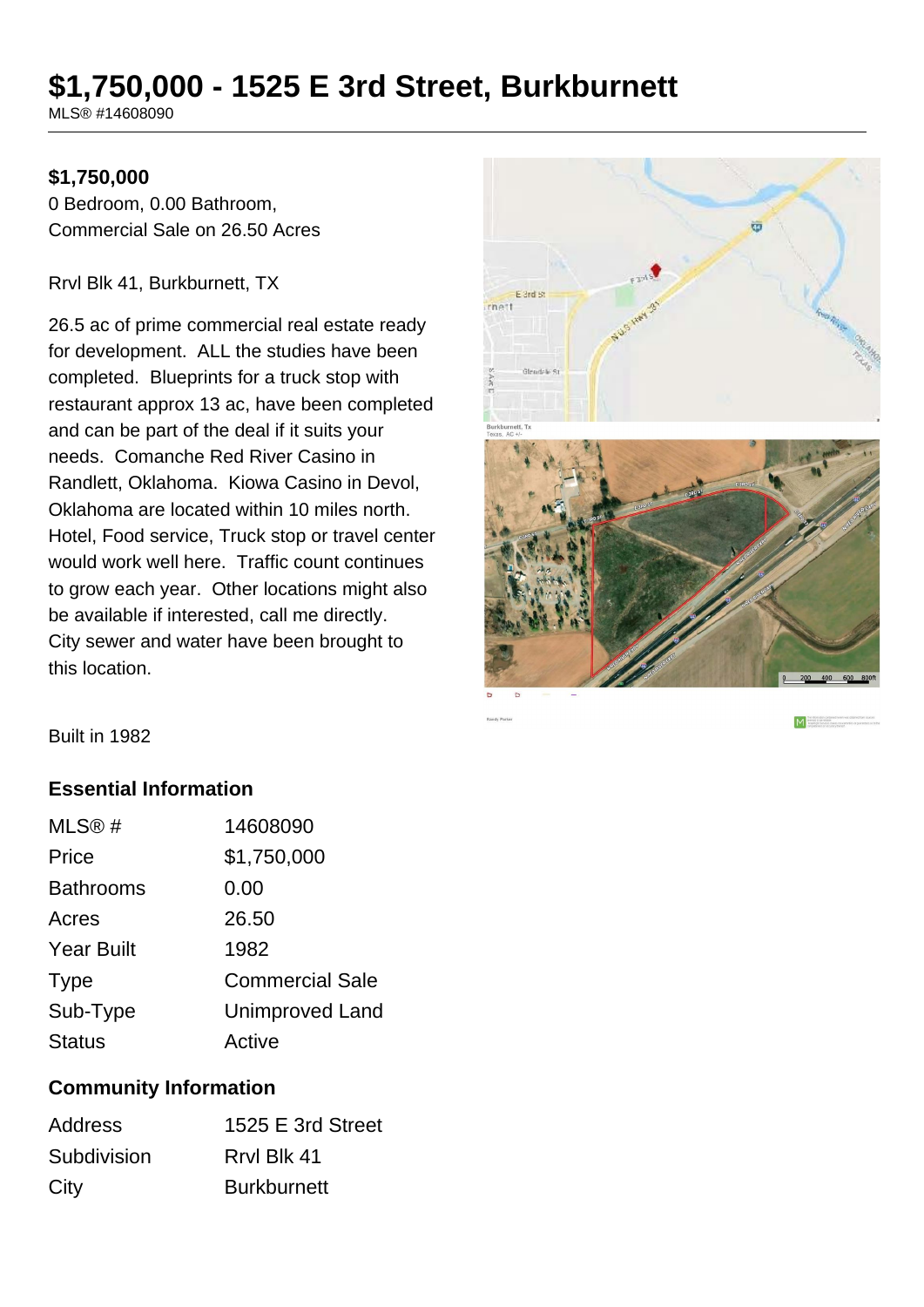## **\$1,750,000 - 1525 E 3rd Street, Burkburnett**

MLS® #14608090

## **\$1,750,000**

0 Bedroom, 0.00 Bathroom, Commercial Sale on 26.50 Acres

Rrvl Blk 41, Burkburnett, TX

26.5 ac of prime commercial real estate ready for development. ALL the studies have been completed. Blueprints for a truck stop with restaurant approx 13 ac, have been completed and can be part of the deal if it suits your needs. Comanche Red River Casino in Randlett, Oklahoma. Kiowa Casino in Devol, Oklahoma are located within 10 miles north. Hotel, Food service, Truck stop or travel center would work well here. Traffic count continues to grow each year. Other locations might also be available if interested, call me directly. City sewer and water have been brought to this location.



M

Built in 1982

## **Essential Information**

| MLS <sup>®</sup> # | 14608090               |
|--------------------|------------------------|
| Price              | \$1,750,000            |
| <b>Bathrooms</b>   | 0.00                   |
| Acres              | 26.50                  |
| <b>Year Built</b>  | 1982                   |
| <b>Type</b>        | <b>Commercial Sale</b> |
| Sub-Type           | <b>Unimproved Land</b> |
| <b>Status</b>      | Active                 |

## **Community Information**

| <b>Address</b> | 1525 E 3rd Street  |
|----------------|--------------------|
| Subdivision    | Rrvl Blk 41        |
| City           | <b>Burkburnett</b> |